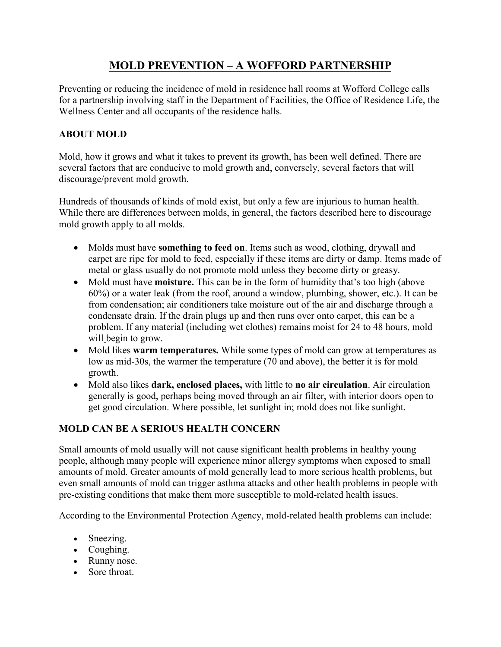# **MOLD PREVENTION – A WOFFORD PARTNERSHIP**

Preventing or reducing the incidence of mold in residence hall rooms at Wofford College calls for a partnership involving staff in the Department of Facilities, the Office of Residence Life, the Wellness Center and all occupants of the residence halls.

#### **ABOUT MOLD**

Mold, how it grows and what it takes to prevent its growth, has been well defined. There are several factors that are conducive to mold growth and, conversely, several factors that will discourage/prevent mold growth.

Hundreds of thousands of kinds of mold exist, but only a few are injurious to human health. While there are differences between molds, in general, the factors described here to discourage mold growth apply to all molds.

- Molds must have **something to feed on**. Items such as wood, clothing, drywall and carpet are ripe for mold to feed, especially if these items are dirty or damp. Items made of metal or glass usually do not promote mold unless they become dirty or greasy.
- Mold must have **moisture.** This can be in the form of humidity that's too high (above 60%) or a water leak (from the roof, around a window, plumbing, shower, etc.). It can be from condensation; air conditioners take moisture out of the air and discharge through a condensate drain. If the drain plugs up and then runs over onto carpet, this can be a problem. If any material (including wet clothes) remains moist for 24 to 48 hours, mold will begin to grow.
- Mold likes **warm temperatures.** While some types of mold can grow at temperatures as low as mid-30s, the warmer the temperature (70 and above), the better it is for mold growth.
- Mold also likes **dark, enclosed places,** with little to **no air circulation**. Air circulation generally is good, perhaps being moved through an air filter, with interior doors open to get good circulation. Where possible, let sunlight in; mold does not like sunlight.

## **MOLD CAN BE A SERIOUS HEALTH CONCERN**

Small amounts of mold usually will not cause significant health problems in healthy young people, although many people will experience minor allergy symptoms when exposed to small amounts of mold. Greater amounts of mold generally lead to more serious health problems, but even small amounts of mold can trigger asthma attacks and other health problems in people with pre-existing conditions that make them more susceptible to mold-related health issues.

According to the Environmental Protection Agency, mold-related health problems can include:

- Sneezing.
- Coughing.
- Runny nose.
- Sore throat.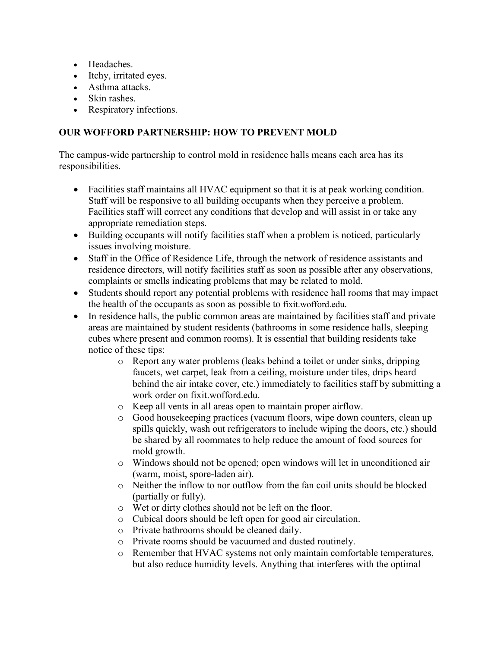- Headaches.
- Itchy, irritated eyes.
- Asthma attacks.
- Skin rashes.
- Respiratory infections.

#### **OUR WOFFORD PARTNERSHIP: HOW TO PREVENT MOLD**

The campus-wide partnership to control mold in residence halls means each area has its responsibilities.

- Facilities staff maintains all HVAC equipment so that it is at peak working condition. Staff will be responsive to all building occupants when they perceive a problem. Facilities staff will correct any conditions that develop and will assist in or take any appropriate remediation steps.
- Building occupants will notify facilities staff when a problem is noticed, particularly issues involving moisture.
- Staff in the Office of Residence Life, through the network of residence assistants and residence directors, will notify facilities staff as soon as possible after any observations, complaints or smells indicating problems that may be related to mold.
- Students should report any potential problems with residence hall rooms that may impact the health of the occupants as soon as possible to fixit.wofford.edu.
- In residence halls, the public common areas are maintained by facilities staff and private areas are maintained by student residents (bathrooms in some residence halls, sleeping cubes where present and common rooms). It is essential that building residents take notice of these tips:
	- o Report any water problems (leaks behind a toilet or under sinks, dripping faucets, wet carpet, leak from a ceiling, moisture under tiles, drips heard behind the air intake cover, etc.) immediately to facilities staff by submitting a work order on fixit.wofford.edu.
	- o Keep all vents in all areas open to maintain proper airflow.
	- o Good housekeeping practices (vacuum floors, wipe down counters, clean up spills quickly, wash out refrigerators to include wiping the doors, etc.) should be shared by all roommates to help reduce the amount of food sources for mold growth.
	- o Windows should not be opened; open windows will let in unconditioned air (warm, moist, spore-laden air).
	- o Neither the inflow to nor outflow from the fan coil units should be blocked (partially or fully).
	- o Wet or dirty clothes should not be left on the floor.
	- o Cubical doors should be left open for good air circulation.
	- o Private bathrooms should be cleaned daily.
	- o Private rooms should be vacuumed and dusted routinely.
	- o Remember that HVAC systems not only maintain comfortable temperatures, but also reduce humidity levels. Anything that interferes with the optimal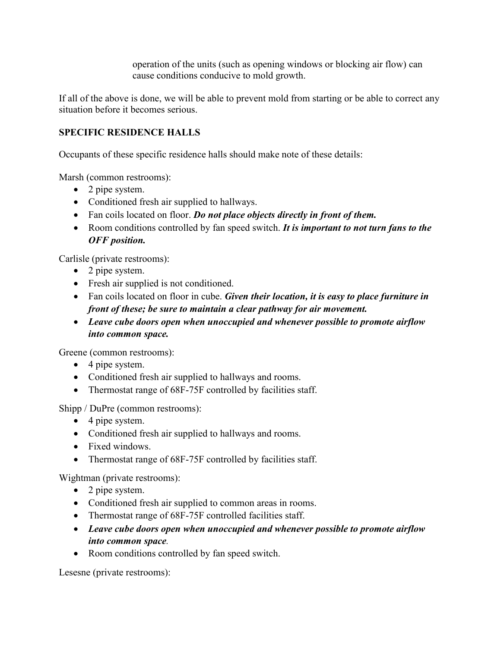operation of the units (such as opening windows or blocking air flow) can cause conditions conducive to mold growth.

If all of the above is done, we will be able to prevent mold from starting or be able to correct any situation before it becomes serious.

## **SPECIFIC RESIDENCE HALLS**

Occupants of these specific residence halls should make note of these details:

Marsh (common restrooms):

- 2 pipe system.
- Conditioned fresh air supplied to hallways.
- Fan coils located on floor. *Do not place objects directly in front of them.*
- Room conditions controlled by fan speed switch. *It is important to not turn fans to the OFF position.*

Carlisle (private restrooms):

- 2 pipe system.
- Fresh air supplied is not conditioned.
- Fan coils located on floor in cube. *Given their location, it is easy to place furniture in front of these; be sure to maintain a clear pathway for air movement.*
- *Leave cube doors open when unoccupied and whenever possible to promote airflow into common space.*

Greene (common restrooms):

- 4 pipe system.
- Conditioned fresh air supplied to hallways and rooms.
- Thermostat range of 68F-75F controlled by facilities staff.

Shipp / DuPre (common restrooms):

- 4 pipe system.
- Conditioned fresh air supplied to hallways and rooms.
- Fixed windows.
- Thermostat range of 68F-75F controlled by facilities staff.

Wightman (private restrooms):

- 2 pipe system.
- Conditioned fresh air supplied to common areas in rooms.
- Thermostat range of 68F-75F controlled facilities staff.
- *Leave cube doors open when unoccupied and whenever possible to promote airflow into common space.*
- Room conditions controlled by fan speed switch.

Lesesne (private restrooms):